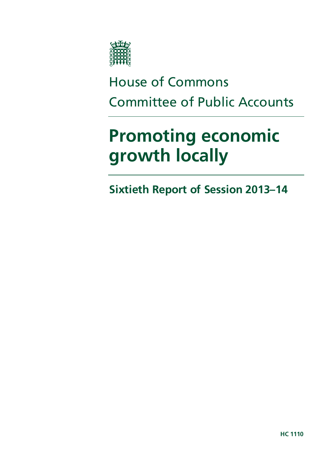

# House of Commons Committee of Public Accounts

# **Promoting economic growth locally**

**Sixtieth Report of Session 2013–14**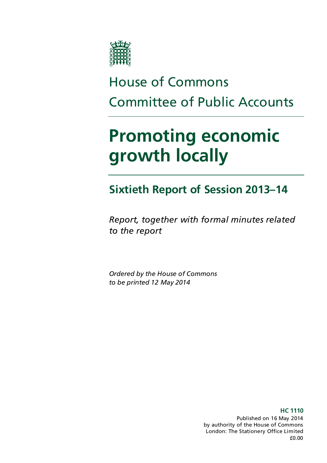

# House of Commons Committee of Public Accounts

# **Promoting economic growth locally**

# **Sixtieth Report of Session 2013–14**

*Report, together with formal minutes related to the report*

*Ordered by the House of Commons to be printed 12 May 2014*

> **HC 1110** Published on 16 May 2014 by authority of the House of Commons London: The Stationery Office Limited £0.00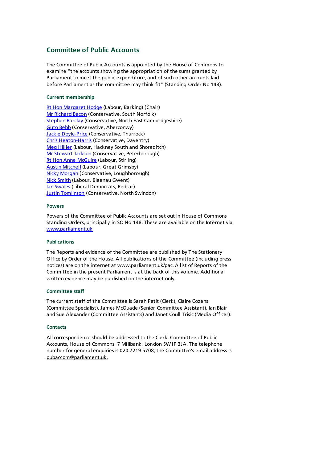#### **Committee of Public Accounts**

The Committee of Public Accounts is appointed by the House of Commons to examine "the accounts showing the appropriation of the sums granted by Parliament to meet the public expenditure, and of such other accounts laid before Parliament as the committee may think fit" (Standing Order No 148).

#### **Current membership**

[Rt Hon Margaret Hodge](http://www.parliament.uk/biographies/commons/margaret-hodge/140) (Labour, Barking) (Chair) [Mr Richard Bacon](http://www.parliament.uk/biographies/commons/mr-richard-bacon/1451) (Conservative, South Norfolk) **[Stephen Barclay](http://www.parliament.uk/biographies/commons/stephen-barclay/4095) (Conservative, North East Cambridgeshire)** [Guto Bebb](http://www.parliament.uk/biographies/commons/guto-bebb/3910) (Conservative, Aberconwy) **[Jackie Doyle-Price](http://www.parliament.uk/biographies/commons/jackie-doyle-price/4065) (Conservative, Thurrock)** [Chris Heaton-Harris](http://www.parliament.uk/biographies/commons/chris-heaton-harris/3977) (Conservative, Daventry) [Meg Hillier](http://www.parliament.uk/biographies/commons/meg-hillier/1524) (Labour, Hackney South and Shoreditch) [Mr Stewart Jackson](http://www.parliament.uk/biographies/commons/mr-stewart-jackson/1551) (Conservative, Peterborough) [Rt Hon Anne McGuire](http://www.parliament.uk/biographies/commons/mrs-anne-mcguire/636) (Labour, Stirling) **[Austin Mitchell](http://www.parliament.uk/biographies/commons/austin-mitchell/372) (Labour, Great Grimsby)** [Nicky Morgan](http://www.parliament.uk/biographies/commons/nicky-morgan/4027) (Conservative, Loughborough) [Nick Smith](http://www.parliament.uk/biographies/commons/nick-smith/3928) (Labour, Blaenau Gwent) [Ian Swales](http://www.parliament.uk/biographies/commons/ian-swales/4045) (Liberal Democrats, Redcar) **[Justin Tomlinson](http://www.parliament.uk/biographies/commons/justin-tomlinson/4105) (Conservative, North Swindon)** 

#### **Powers**

Powers of the Committee of Public Accounts are set out in House of Commons Standing Orders, principally in SO No 148. These are available on the Internet via [www.parliament.uk](http://www.parliament.uk/)

#### **Publications**

The Reports and evidence of the Committee are published by The Stationery Office by Order of the House. All publications of the Committee (including press notices) are on the internet at www.parliament.uk/pac. A list of Reports of the Committee in the present Parliament is at the back of this volume. Additional written evidence may be published on the internet only.

#### **Committee staff**

The current staff of the Committee is Sarah Petit (Clerk), Claire Cozens (Committee Specialist), James McQuade (Senior Committee Assistant), Ian Blair and Sue Alexander (Committee Assistants) and Janet Coull Trisic (Media Officer).

#### **Contacts**

All correspondence should be addressed to the Clerk, Committee of Public Accounts, House of Commons, 7 Millbank, London SW1P 3JA. The telephone number for general enquiries is 020 7219 5708; the Committee's email address is pubaccom@parliament.uk.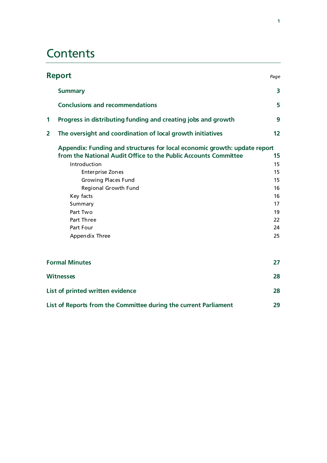## **Contents**

|              | <b>Report</b>                                                                                                                                                                                                                                                                                                                  | Page                                                           |
|--------------|--------------------------------------------------------------------------------------------------------------------------------------------------------------------------------------------------------------------------------------------------------------------------------------------------------------------------------|----------------------------------------------------------------|
|              | <b>Summary</b>                                                                                                                                                                                                                                                                                                                 | $\overline{\mathbf{3}}$                                        |
|              | <b>Conclusions and recommendations</b>                                                                                                                                                                                                                                                                                         | 5                                                              |
| 1            | Progress in distributing funding and creating jobs and growth                                                                                                                                                                                                                                                                  | 9                                                              |
| $\mathbf{2}$ | The oversight and coordination of local growth initiatives                                                                                                                                                                                                                                                                     | 12                                                             |
|              | Appendix: Funding and structures for local economic growth: update report<br>from the National Audit Office to the Public Accounts Committee<br>Introduction<br><b>Enterprise Zones</b><br><b>Growing Places Fund</b><br>Regional Growth Fund<br>Key facts<br>Summary<br>Part Two<br>Part Three<br>Part Four<br>Appendix Three | 15<br>15<br>15<br>15<br>16<br>16<br>17<br>19<br>22<br>24<br>25 |
|              | <b>Formal Minutes</b>                                                                                                                                                                                                                                                                                                          | 27                                                             |
|              | <b>Witnesses</b>                                                                                                                                                                                                                                                                                                               | 28                                                             |
|              | List of printed written evidence                                                                                                                                                                                                                                                                                               | 28                                                             |
|              | List of Reports from the Committee during the current Parliament                                                                                                                                                                                                                                                               | 29                                                             |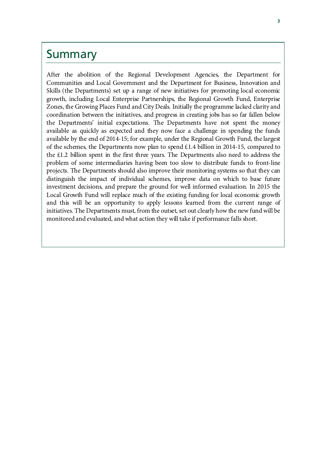### Summary

After the abolition of the Regional Development Agencies, the Department for Communities and Local Government and the Department for Business, Innovation and Skills (the Departments) set up a range of new initiatives for promoting local economic growth, including Local Enterprise Partnerships, the Regional Growth Fund, Enterprise Zones, the Growing Places Fund and City Deals. Initially the programme lacked clarity and coordination between the initiatives, and progress in creating jobs has so far fallen below the Departments' initial expectations. The Departments have not spent the money available as quickly as expected and they now face a challenge in spending the funds available by the end of 2014-15; for example, under the Regional Growth Fund, the largest of the schemes, the Departments now plan to spend £1.4 billion in 2014-15, compared to the £1.2 billion spent in the first three years. The Departments also need to address the problem of some intermediaries having been too slow to distribute funds to front-line projects. The Departments should also improve their monitoring systems so that they can distinguish the impact of individual schemes, improve data on which to base future investment decisions, and prepare the ground for well informed evaluation. In 2015 the Local Growth Fund will replace much of the existing funding for local economic growth and this will be an opportunity to apply lessons learned from the current range of initiatives. The Departments must, from the outset, set out clearly how the new fund will be monitored and evaluated, and what action they will take if performance falls short.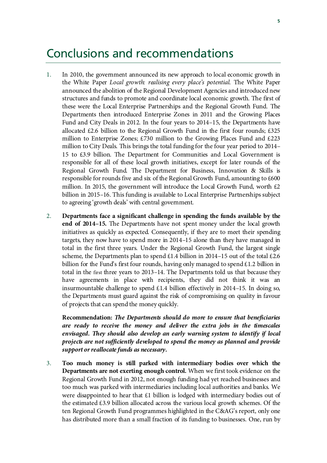## Conclusions and recommendations

- 1. In 2010, the government announced its new approach to local economic growth in the White Paper *Local growth: realising every place's potential*. The White Paper announced the abolition of the Regional Development Agencies and introduced new structures and funds to promote and coordinate local economic growth. The first of these were the Local Enterprise Partnerships and the Regional Growth Fund. The Departments then introduced Enterprise Zones in 2011 and the Growing Places Fund and City Deals in 2012. In the four years to 2014–15, the Departments have allocated  $\text{\pounds}2.6$  billion to the Regional Growth Fund in the first four rounds;  $\text{\pounds}325$ million to Enterprise Zones; £730 million to the Growing Places Fund and £223 million to City Deals. This brings the total funding for the four year period to 2014– 15 to £3.9 billion. The Department for Communities and Local Government is responsible for all of these local growth initiatives, except for later rounds of the Regional Growth Fund. The Department for Business, Innovation & Skills is responsible for rounds five and six of the Regional Growth Fund, amounting to £600 million. In 2015, the government will introduce the Local Growth Fund, worth  $£2$ billion in 2015–16. This funding is available to Local Enterprise Partnerships subject to agreeing 'growth deals' with central government.
- 2. **Departments face a significant challenge in spending the funds available by the end of 2014–15.** The Departments have not spent money under the local growth initiatives as quickly as expected. Consequently, if they are to meet their spending targets, they now have to spend more in 2014–15 alone than they have managed in total in the first three years. Under the Regional Growth Fund, the largest single scheme, the Departments plan to spend £1.4 billion in 2014–15 out of the total £2.6 billion for the Fund's first four rounds, having only managed to spend  $\pounds$ 1.2 billion in total in the first three years to 2013–14. The Departments told us that because they have agreements in place with recipients, they did not think it was an insurmountable challenge to spend  $£1.4$  billion effectively in 2014–15. In doing so, the Departments must guard against the risk of compromising on quality in favour of projects that can spend the money quickly.

**Recommendation:** *The Departments should do more to ensure that beneficiaries are ready to receive the money and deliver the extra jobs in the timescales envisaged. They should also develop an early warning system to identify if local projects are not sufficiently developed to spend the money as planned and provide support or reallocate funds as necessary.*

3. **Too much money is still parked with intermediary bodies over which the Departments are not exerting enough control.** When we first took evidence on the Regional Growth Fund in 2012, not enough funding had yet reached businesses and too much was parked with intermediaries including local authorities and banks. We were disappointed to hear that £1 billion is lodged with intermediary bodies out of the estimated £3.9 billion allocated across the various local growth schemes. Of the ten Regional Growth Fund programmes highlighted in the C&AG's report, only one has distributed more than a small fraction of its funding to businesses*.* One, run by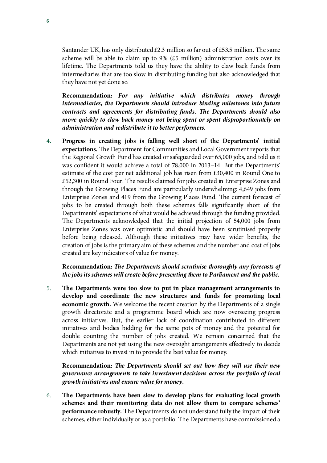Santander UK, has only distributed  $£2.3$  million so far out of £53.5 million. The same scheme will be able to claim up to 9% (£5 million) administration costs over its lifetime. The Departments told us they have the ability to claw back funds from intermediaries that are too slow in distributing funding but also acknowledged that they have not yet done so.

**Recommendation:** *For any initiative which distributes money through intermediaries, the Departments should introduce binding milestones into future contracts and agreements for distributing funds. The Departments should also move quickly to claw back money not being spent or spent disproportionately on administration and redistribute it to better performers.*

4. **Progress in creating jobs is falling well short of the Departments' initial expectations.** The Department for Communities and Local Government reports that the Regional Growth Fund has created or safeguarded over 65,000 jobs, and told us it was confident it would achieve a total of 78,000 in 2013–14. But the Departments' estimate of the cost per net additional job has risen from £30,400 in Round One to £52,300 in Round Four. The results claimed for jobs created in Enterprise Zones and through the Growing Places Fund are particularly underwhelming: 4,649 jobs from Enterprise Zones and 419 from the Growing Places Fund. The current forecast of jobs to be created through both these schemes falls significantly short of the Departments' expectations of what would be achieved through the funding provided. The Departments acknowledged that the initial projection of 54,000 jobs from Enterprise Zones was over optimistic and should have been scrutinised properly before being released. Although these initiatives may have wider benefits, the creation of jobs is the primary aim of these schemes and the number and cost of jobs created are key indicators of value for money.

**Recommendation:** *The Departments should scrutinise thoroughly any forecasts of the jobs its schemes will create before presenting them to Parliament and the public.*

5. **The Departments were too slow to put in place management arrangements to develop and coordinate the new structures and funds for promoting local economic growth.** We welcome the recent creation by the Departments of a single growth directorate and a programme board which are now overseeing progress across initiatives. But, the earlier lack of coordination contributed to different initiatives and bodies bidding for the same pots of money and the potential for double counting the number of jobs created. We remain concerned that the Departments are not yet using the new oversight arrangements effectively to decide which initiatives to invest in to provide the best value for money.

**Recommendation:** *The Departments should set out how they will use their new governance arrangements to take investment decisions across the portfolio of local growth initiatives and ensure value for money.*

6. **The Departments have been slow to develop plans for evaluating local growth schemes and their monitoring data do not allow them to compare schemes' performance robustly.** The Departments do not understand fully the impact of their schemes, either individually or as a portfolio. The Departments have commissioned a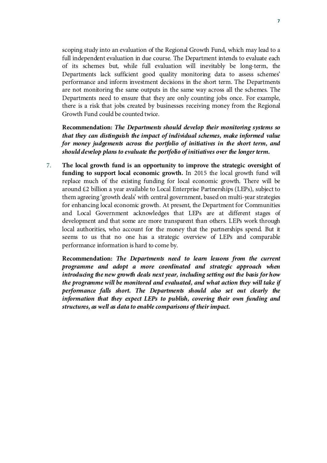scoping study into an evaluation of the Regional Growth Fund, which may lead to a full independent evaluation in due course. The Department intends to evaluate each of its schemes but, while full evaluation will inevitably be long-term, the Departments lack sufficient good quality monitoring data to assess schemes' performance and inform investment decisions in the short term. The Departments are not monitoring the same outputs in the same way across all the schemes. The Departments need to ensure that they are only counting jobs once. For example, there is a risk that jobs created by businesses receiving money from the Regional Growth Fund could be counted twice.

**Recommendation:** *The Departments should develop their monitoring systems so that they can distinguish the impact of individual schemes, make informed value for money judgements across the portfolio of initiatives in the short term, and should develop plans to evaluate the portfolio of initiatives over the longer term.*

7. **The local growth fund is an opportunity to improve the strategic oversight of funding to support local economic growth.** In 2015 the local growth fund will replace much of the existing funding for local economic growth. There will be around £2 billion a year available to Local Enterprise Partnerships (LEPs), subject to them agreeing 'growth deals' with central government, based on multi-year strategies for enhancing local economic growth. At present, the Department for Communities and Local Government acknowledges that LEPs are at different stages of development and that some are more transparent than others. LEPs work through local authorities, who account for the money that the partnerships spend. But it seems to us that no one has a strategic overview of LEPs and comparable performance information is hard to come by.

**Recommendation:** *The Departments need to learn lessons from the current programme and adopt a more coordinated and strategic approach when introducing the new growth deals next year, including setting out the basis for how the programme will be monitored and evaluated, and what action they will take if performance falls short. The Departments should also set out clearly the information that they expect LEPs to publish, covering their own funding and structures, as well as data to enable comparisons of their impact.*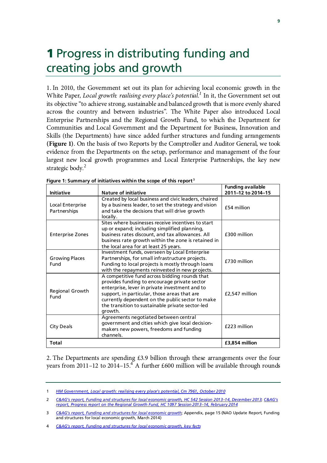# **1 Progress in distributing funding and** creating jobs and growth

1. In 2010, the Government set out its plan for achieving local economic growth in the White Paper, *Local growth: realising every place's potential.[1](#page-12-0)* In it, the Government set out its objective "to achieve strong, sustainable and balanced growth that is more evenly shared across the country and between industries". The White Paper also introduced Local Enterprise Partnerships and the Regional Growth Fund, to which the Department for Communities and Local Government and the Department for Business, Innovation and Skills (the Departments) have since added further structures and funding arrangements **(Figure 1)**. On the basis of two Reports by the Comptroller and Auditor General, we took evidence from the Departments on the setup, performance and management of the four largest new local growth programmes and Local Enterprise Partnerships, the key new strategic body.<sup>[2](#page-12-1)</sup>

| <b>Initiative</b>                | <b>Nature of initiative</b>                                                                                                                                                                                                                                                                                        | <b>Funding available</b><br>2011-12 to 2014-15 |
|----------------------------------|--------------------------------------------------------------------------------------------------------------------------------------------------------------------------------------------------------------------------------------------------------------------------------------------------------------------|------------------------------------------------|
| Local Enterprise<br>Partnerships | Created by local business and civic leaders, chaired<br>by a business leader, to set the strategy and vision<br>and take the decisions that will drive growth<br>locally.                                                                                                                                          | £54 million                                    |
| <b>Enterprise Zones</b>          | Sites where businesses receive incentives to start<br>up or expand; including simplified planning,<br>business rates discount, and tax allowances. All<br>business rate growth within the zone is retained in<br>the local area for at least 25 years.                                                             | £300 million                                   |
| <b>Growing Places</b><br>Fund    | Investment funds, overseen by Local Enterprise<br>Partnerships, for small infrastructure projects.<br>Funding to local projects is mostly through loans<br>with the repayments reinvested in new projects.                                                                                                         | £730 million                                   |
| Regional Growth<br>Fund          | A competitive fund across bidding rounds that<br>provides funding to encourage private sector<br>enterprise, lever in private investment and to<br>support, in particular, those areas that are<br>currently dependent on the public sector to make<br>the transition to sustainable private sector-led<br>growth. | £2,547 million                                 |
| <b>City Deals</b>                | Agreements negotiated between central<br>government and cities which give local decision-<br>makers new powers, freedoms and funding<br>channels.                                                                                                                                                                  | £223 million                                   |
| <b>Total</b>                     |                                                                                                                                                                                                                                                                                                                    | £3,854 million                                 |

| Figure 1: Summary of initiatives within the scope of this report <sup>3</sup> |  |
|-------------------------------------------------------------------------------|--|
|                                                                               |  |

2. The Departments are spending £3.9 billion through these arrangements over the four years from 2011–12 to 201[4](#page-12-3)–15.<sup>4</sup> A further £600 million will be available through rounds

<span id="page-12-0"></span><sup>1</sup> *[HM Government, Local growth: realising every place's potential, Cm 7961, October 2010](http://www.consultation-online.co.uk/UserFiles/localism-blog/Local%20growth.pdf)*

<span id="page-12-1"></span><sup>2</sup> *[C&AG's report, Funding and structures for local economic growth, HC 542 Session 2013–14, December 2013](http://www.nao.org.uk/wp-content/uploads/2013/12/10285-001-Local-economic-growth.pdf)*; *[C&AG's](http://www.nao.org.uk/wp-content/uploads/2015/02/Progress-report-on-the-regional-growth-fund.pdf)  [report, Progress report on the Regional Growth Fund, HC 1097 Session 2013–14, February 2014](http://www.nao.org.uk/wp-content/uploads/2015/02/Progress-report-on-the-regional-growth-fund.pdf)*

<span id="page-12-2"></span><sup>3</sup> *[C&AG's report, Funding and structures for local economic growth](http://www.nao.org.uk/wp-content/uploads/2013/12/10285-001-Local-economic-growth.pdf)*; Appendix, page 15 (NAO Update Report, Funding and structures for local economic growth, March 2014)

<span id="page-12-3"></span><sup>4</sup> *[C&AG's report, Funding and structures for local economic growth, key facts](http://www.nao.org.uk/wp-content/uploads/2013/12/10285-001-Local-economic-growth.pdf)*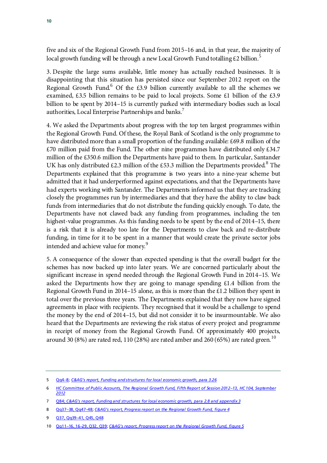five and six of the Regional Growth Fund from 2015–16 and, in that year, the majority of local growth funding will be through a new Local Growth Fund totalling  $\text{\pounds}2$  billion.<sup>[5](#page-13-0)</sup>

3. Despite the large sums available, little money has actually reached businesses. It is disappointing that this situation has persisted since our September 2012 report on the Regional Growth Fund.<sup>[6](#page-13-0)</sup> Of the £3.9 billion currently available to all the schemes we examined, £3.5 billion remains to be paid to local projects. Some £1 billion of the £3.9 billion to be spent by 2014–15 is currently parked with intermediary bodies such as local authorities, Local Enterprise Partnerships and banks.<sup>[7](#page-13-0)</sup>

4. We asked the Departments about progress with the top ten largest programmes within the Regional Growth Fund. Of these, the Royal Bank of Scotland is the only programme to have distributed more than a small proportion of the funding available: £69.8 million of the  $£70$  million paid from the Fund. The other nine programmes have distributed only £34.7 million of the £350.6 million the Departments have paid to them. In particular, Santander UK has only distributed £2.3 million of the £53.3 million the Departments provided.<sup>[8](#page-13-0)</sup> The Departments explained that this programme is two years into a nine-year scheme but admitted that it had underperformed against expectations, and that the Departments have had experts working with Santander. The Departments informed us that they are tracking closely the programmes run by intermediaries and that they have the ability to claw back funds from intermediaries that do not distribute the funding quickly enough. To date, the Departments have not clawed back any funding from programmes, including the ten highest-value programmes. As this funding needs to be spent by the end of 2014–15, there is a risk that it is already too late for the Departments to claw back and re-distribute funding, in time for it to be spent in a manner that would create the private sector jobs intended and achieve value for money.<sup>[9](#page-13-0)</sup>

5. A consequence of the slower than expected spending is that the overall budget for the schemes has now backed up into later years. We are concerned particularly about the significant increase in spend needed through the Regional Growth Fund in 2014–15. We asked the Departments how they are going to manage spending £1.4 billion from the Regional Growth Fund in 2014–15 alone, as this is more than the £1.2 billion they spent in total over the previous three years. The Departments explained that they now have signed agreements in place with recipients. They recognised that it would be a challenge to spend the money by the end of 2014–15, but did not consider it to be insurmountable. We also heard that the Departments are reviewing the risk status of every project and programme in receipt of money from the Regional Growth Fund. Of approximately 400 projects, around 30 (8%) are rated red, 1[10](#page-13-0) (28%) are rated amber and 260 (65%) are rated green.<sup>10</sup>

<span id="page-13-0"></span><sup>5</sup> [Qq4–8;](http://data.parliament.uk/writtenevidence/committeeevidence.svc/evidencedocument/public-accounts-committee/local-economic-growth-and-the-regional-growth-fund-update/oral/7312.html) *[C&AG's report, Funding and structures for local economic growth, para 3.26](http://www.nao.org.uk/wp-content/uploads/2013/12/10285-001-Local-economic-growth.pdf)*

<sup>6</sup> *[HC Committee of Public Accounts, The Regional Growth Fund, Fifth Report of Session 2012–13, HC 104, September](http://www.publications.parliament.uk/pa/cm201213/cmselect/cmpubacc/104/10402.htm#evidence)  [2012](http://www.publications.parliament.uk/pa/cm201213/cmselect/cmpubacc/104/10402.htm#evidence)*

<sup>7</sup> [Q84;](http://data.parliament.uk/writtenevidence/committeeevidence.svc/evidencedocument/public-accounts-committee/local-economic-growth-and-the-regional-growth-fund-update/oral/7312.html) *[C&AG's report, Funding and structures for local economic growth, para 2.8 and appendix 3](http://data.parliament.uk/writtenevidence/committeeevidence.svc/evidencedocument/public-accounts-committee/local-economic-growth-and-the-regional-growth-fund-update/oral/7312.html)*

<sup>8</sup> [Qq37–38, Qq47–48;](http://data.parliament.uk/writtenevidence/committeeevidence.svc/evidencedocument/public-accounts-committee/local-economic-growth-and-the-regional-growth-fund-update/oral/7312.html) *[C&AG's report, Progress report on the Regional Growth Fund, figure 4](http://www.nao.org.uk/wp-content/uploads/2015/02/Progress-report-on-the-regional-growth-fund.pdf)*

<sup>9</sup> [Q37, Qq39–41, Q45, Q48](http://data.parliament.uk/writtenevidence/committeeevidence.svc/evidencedocument/public-accounts-committee/local-economic-growth-and-the-regional-growth-fund-update/oral/7312.html)

<sup>10</sup> [Qq11–16, 16–29, Q32, Q39;](http://data.parliament.uk/writtenevidence/committeeevidence.svc/evidencedocument/public-accounts-committee/local-economic-growth-and-the-regional-growth-fund-update/oral/7312.html) *[C&AG's report, Progress report on the Regional Growth Fund, figure 5](http://www.nao.org.uk/wp-content/uploads/2015/02/Progress-report-on-the-regional-growth-fund.pdf)*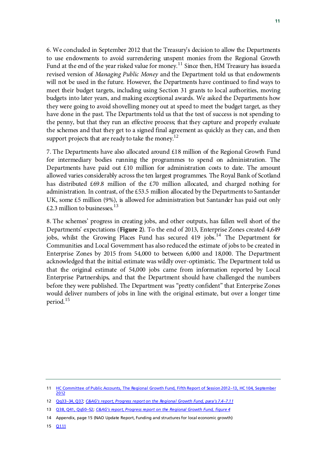6. We concluded in September 2012 that the Treasury's decision to allow the Departments to use endowments to avoid surrendering unspent monies from the Regional Growth Fund at the end of the year risked value for money.<sup>[11](#page-14-0)</sup> Since then, HM Treasury has issued a revised version of *Managing Public Money* and the Department told us that endowments will not be used in the future. However, the Departments have continued to find ways to meet their budget targets, including using Section 31 grants to local authorities, moving budgets into later years, and making exceptional awards. We asked the Departments how they were going to avoid shovelling money out at speed to meet the budget target, as they have done in the past. The Departments told us that the test of success is not spending to the penny, but that they run an effective process; that they capture and properly evaluate the schemes and that they get to a signed final agreement as quickly as they can, and then support projects that are ready to take the money.<sup>[12](#page-14-0)</sup>

7. The Departments have also allocated around £18 million of the Regional Growth Fund for intermediary bodies running the programmes to spend on administration. The Departments have paid out  $\pounds 10$  million for administration costs to date. The amount allowed varies considerably across the ten largest programmes. The Royal Bank of Scotland has distributed £69.8 million of the £70 million allocated, and charged nothing for administration. In contrast, of the £53.5 million allocated by the Departments to Santander UK, some £5 million (9%), is allowed for administration but Santander has paid out only £2.3 million to businesses.<sup>[13](#page-14-0)</sup>

8. The schemes' progress in creating jobs, and other outputs, has fallen well short of the Departments' expectations (**Figure 2**). To the end of 2013, Enterprise Zones created 4,649 jobs, whilst the Growing Places Fund has secured 419 jobs.<sup>[14](#page-14-0)</sup> The Department for Communities and Local Government has also reduced the estimate of jobs to be created in Enterprise Zones by 2015 from 54,000 to between 6,000 and 18,000. The Department acknowledged that the initial estimate was wildly over-optimistic. The Department told us that the original estimate of 54,000 jobs came from information reported by Local Enterprise Partnerships, and that the Department should have challenged the numbers before they were published. The Department was "pretty confident" that Enterprise Zones would deliver numbers of jobs in line with the original estimate, but over a longer time period. [15](#page-14-0)

<span id="page-14-0"></span><sup>11</sup> HC Committee of Public Accounts, The Regional Growth Fund, Fifth Report of Session 2012-13, HC 104, September [2012](http://www.publications.parliament.uk/pa/cm201213/cmselect/cmpubacc/104/10402.htm#evidence)

<sup>12</sup> [Qq33–34, Q37;](http://data.parliament.uk/writtenevidence/committeeevidence.svc/evidencedocument/public-accounts-committee/local-economic-growth-and-the-regional-growth-fund-update/oral/7312.html) *[C&AG's report, Progress report on the Regional Growth Fund, para's 7.4–7.11](http://www.nao.org.uk/wp-content/uploads/2015/02/Progress-report-on-the-regional-growth-fund.pdf)*

<sup>13</sup> [Q38, Q41, Qq50–52;](http://data.parliament.uk/writtenevidence/committeeevidence.svc/evidencedocument/public-accounts-committee/local-economic-growth-and-the-regional-growth-fund-update/oral/7312.html) *[C&AG's report, Progress report on the Regional Growth Fund, figure 4](http://www.nao.org.uk/wp-content/uploads/2015/02/Progress-report-on-the-regional-growth-fund.pdf)*

<sup>14</sup> Appendix, page 15 (NAO Update Report, Funding and structures for local economic growth)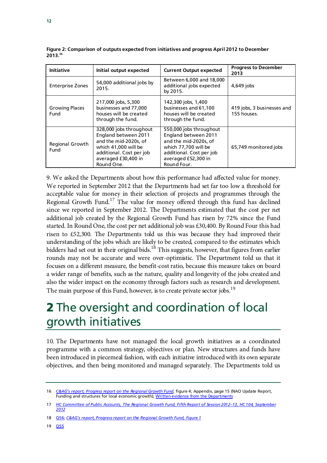| <b>Initiative</b>             | Initial output expected                                                                                                                                           | <b>Current Output expected</b>                                                                                                                                     | <b>Progress to December</b><br>2013       |
|-------------------------------|-------------------------------------------------------------------------------------------------------------------------------------------------------------------|--------------------------------------------------------------------------------------------------------------------------------------------------------------------|-------------------------------------------|
| <b>Enterprise Zones</b>       | 54,000 additional jobs by<br>2015.                                                                                                                                | Between 6,000 and 18,000<br>additional jobs expected<br>by 2015.                                                                                                   | 4,649 jobs                                |
| <b>Growing Places</b><br>Fund | 217,000 jobs, 5,300<br>businesses and 77,000<br>houses will be created<br>through the fund.                                                                       | 142,300 jobs, 1,400<br>businesses and 61,100<br>houses will be created<br>through the fund.                                                                        | 419 jobs, 3 businesses and<br>155 houses. |
| Regional Growth<br>Fund       | 328,000 jobs throughout<br>England between 2011<br>and the mid-2020s, of<br>which 41,000 will be<br>additional. Cost per job<br>averaged £30,400 in<br>Round One. | 550,000 jobs throughout<br>England between 2011<br>and the mid-2020s, of<br>which 77.700 will be<br>additional. Cost per job<br>averaged £52,300 in<br>Round Four. | 65,749 monitored jobs                     |

**Figure 2: Comparison of outputs expected from initiatives and progress April 2012 to December 2013. [16](#page-15-0)**

9. We asked the Departments about how this performance had affected value for money. We reported in September 2012 that the Departments had set far too low a threshold for acceptable value for money in their selection of projects and programmes through the Regional Growth Fund.<sup>[17](#page-15-0)</sup> The value for money offered through this fund has declined since we reported in September 2012. The Departments estimated that the cost per net additional job created by the Regional Growth Fund has risen by 72% since the Fund started. In Round One, the cost per net additional job was £30,400. By Round Four this had risen to £52,300. The Departments told us this was because they had improved their understanding of the jobs which are likely to be created, compared to the estimates which bidders had set out in their original bids.<sup>[18](#page-15-0)</sup> This suggests, however, that figures from earlier rounds may not be accurate and were over-optimistic. The Department told us that it focuses on a different measure, the benefit-cost ratio, because this measure takes on board a wider range of benefits, such as the nature, quality and longevity of the jobs created and also the wider impact on the economy through factors such as research and development. The main purpose of this Fund, however, is to create private sector jobs.<sup>[19](#page-15-0)</sup>

# 2 The oversight and coordination of local growth initiatives

10. The Departments have not managed the local growth initiatives as a coordinated programme with a common strategy, objectives or plan. New structures and funds have been introduced in piecemeal fashion, with each initiative introduced with its own separate objectives, and then being monitored and managed separately. The Departments told us

19 [Q55](http://data.parliament.uk/writtenevidence/committeeevidence.svc/evidencedocument/public-accounts-committee/local-economic-growth-and-the-regional-growth-fund-update/oral/7312.html)

<span id="page-15-0"></span><sup>16</sup> *[C&AG's report, Progress report on the Regional Growth Fund](http://www.nao.org.uk/wp-content/uploads/2015/02/Progress-report-on-the-regional-growth-fund.pdf)*, figure 4; Appendix, page 15 (NAO Update Report, Funding and structures for local economic growth)[; Written evidence from the Departments](http://www.parliament.uk/business/committees/committees-a-z/commons-select/public-accounts-committee/inquiries/parliament-2010/local-economic-growth-and-regional-growth-fund/)

<sup>17</sup> *[HC Committee of Public Accounts, The Regional Growth Fund, Fifth Report of Session 2012–13, HC 104, September](http://www.publications.parliament.uk/pa/cm201213/cmselect/cmpubacc/104/10402.htm#evidence)  [2012](http://www.publications.parliament.uk/pa/cm201213/cmselect/cmpubacc/104/10402.htm#evidence)*

<sup>18</sup> [Q56;](http://data.parliament.uk/writtenevidence/committeeevidence.svc/evidencedocument/public-accounts-committee/local-economic-growth-and-the-regional-growth-fund-update/oral/7312.html) *[C&AG's report, Progress report on the Regional Growth Fund, figure 1](http://www.nao.org.uk/wp-content/uploads/2015/02/Progress-report-on-the-regional-growth-fund.pdf)*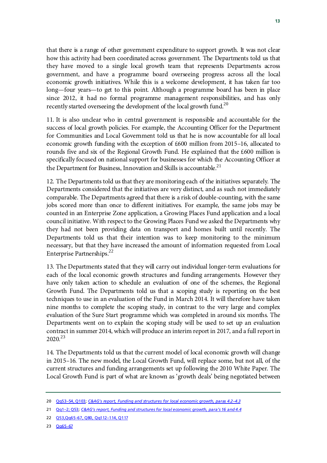that there is a range of other government expenditure to support growth. It was not clear how this activity had been coordinated across government. The Departments told us that they have moved to a single local growth team that represents Departments across government, and have a programme board overseeing progress across all the local economic growth initiatives. While this is a welcome development, it has taken far too long—four years—to get to this point. Although a programme board has been in place since 2012, it had no formal programme management responsibilities, and has only recently started overseeing the development of the local growth fund.<sup>[20](#page-16-0)</sup>

11. It is also unclear who in central government is responsible and accountable for the success of local growth policies. For example, the Accounting Officer for the Department for Communities and Local Government told us that he is now accountable for all local economic growth funding with the exception of £600 million from 2015–16, allocated to rounds five and six of the Regional Growth Fund. He explained that the £600 million is specifically focused on national support for businesses for which the Accounting Officer at the Department for Business, Innovation and Skills is accountable.<sup>[21](#page-16-0)</sup>

12. The Departments told us that they are monitoring each of the initiatives separately. The Departments considered that the initiatives are very distinct, and as such not immediately comparable. The Departments agreed that there is a risk of double-counting, with the same jobs scored more than once to different initiatives. For example, the same jobs may be counted in an Enterprise Zone application, a Growing Places Fund application and a local council initiative. With respect to the Growing Places Fund we asked the Departments why they had not been providing data on transport and homes built until recently. The Departments told us that their intention was to keep monitoring to the minimum necessary, but that they have increased the amount of information requested from Local Enterprise Partnerships.<sup>[22](#page-16-0)</sup>

13. The Departments stated that they will carry out individual longer-term evaluations for each of the local economic growth structures and funding arrangements. However they have only taken action to schedule an evaluation of one of the schemes, the Regional Growth Fund. The Departments told us that a scoping study is reporting on the best techniques to use in an evaluation of the Fund in March 2014. It will therefore have taken nine months to complete the scoping study, in contrast to the very large and complex evaluation of the Sure Start programme which was completed in around six months. The Departments went on to explain the scoping study will be used to set up an evaluation contract in summer 2014, which will produce an interim report in 2017, and a full report in 2020.[23](#page-16-0)

14. The Departments told us that the current model of local economic growth will change in 2015–16. The new model, the Local Growth Fund, will replace some, but not all, of the current structures and funding arrangements set up following the 2010 White Paper. The Local Growth Fund is part of what are known as 'growth deals' being negotiated between

<span id="page-16-0"></span><sup>20</sup> [Qq53–54, Q103;](http://data.parliament.uk/writtenevidence/committeeevidence.svc/evidencedocument/public-accounts-committee/local-economic-growth-and-the-regional-growth-fund-update/oral/7312.html) *[C&AG's report, Funding and structures for local economic growth, paras 4.2–4.3](http://www.nao.org.uk/wp-content/uploads/2013/12/10285-001-Local-economic-growth.pdf)*

<sup>21</sup> [Qq1–2; Q53;](http://data.parliament.uk/writtenevidence/committeeevidence.svc/evidencedocument/public-accounts-committee/local-economic-growth-and-the-regional-growth-fund-update/oral/7312.html) *[C&AG's report, Funding and structures for local economic growth, para's 16 and 4.4](http://www.nao.org.uk/wp-content/uploads/2013/12/10285-001-Local-economic-growth.pdf)*

<sup>22</sup> [Q53,Qq65–67, Q80, Qq112–114, Q117](http://data.parliament.uk/writtenevidence/committeeevidence.svc/evidencedocument/public-accounts-committee/local-economic-growth-and-the-regional-growth-fund-update/oral/7312.html)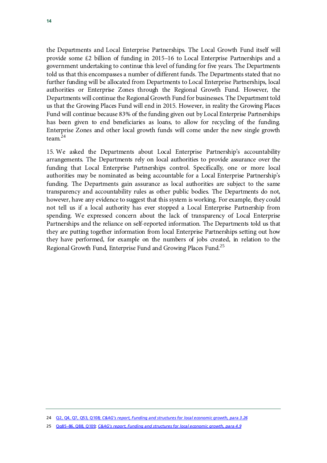the Departments and Local Enterprise Partnerships. The Local Growth Fund itself will provide some £2 billion of funding in 2015–16 to Local Enterprise Partnerships and a government undertaking to continue this level of funding for five years. The Departments told us that this encompasses a number of different funds. The Departments stated that no further funding will be allocated from Departments to Local Enterprise Partnerships, local authorities or Enterprise Zones through the Regional Growth Fund. However, the Departments will continue the Regional Growth Fund for businesses. The Department told us that the Growing Places Fund will end in 2015. However, in reality the Growing Places Fund will continue because 83% of the funding given out by Local Enterprise Partnerships has been given to end beneficiaries as loans, to allow for recycling of the funding. Enterprise Zones and other local growth funds will come under the new single growth team.[24](#page-17-0)

15. We asked the Departments about Local Enterprise Partnership's accountability arrangements. The Departments rely on local authorities to provide assurance over the funding that Local Enterprise Partnerships control. Specifically, one or more local authorities may be nominated as being accountable for a Local Enterprise Partnership's funding. The Departments gain assurance as local authorities are subject to the same transparency and accountability rules as other public bodies. The Departments do not, however, have any evidence to suggest that this system is working. For example, they could not tell us if a local authority has ever stopped a Local Enterprise Partnership from spending. We expressed concern about the lack of transparency of Local Enterprise Partnerships and the reliance on self-reported information. The Departments told us that they are putting together information from local Enterprise Partnerships setting out how they have performed, for example on the numbers of jobs created, in relation to the Regional Growth Fund, Enterprise Fund and Growing Places Fund.<sup>[25](#page-17-0)</sup>

<span id="page-17-0"></span><sup>24</sup> [Q2, Q4, Q7, Q53, Q108;](http://data.parliament.uk/writtenevidence/committeeevidence.svc/evidencedocument/public-accounts-committee/local-economic-growth-and-the-regional-growth-fund-update/oral/7312.html) *[C&AG's report, Funding and structures for local economic growth, para 3.26](http://data.parliament.uk/writtenevidence/committeeevidence.svc/evidencedocument/public-accounts-committee/local-economic-growth-and-the-regional-growth-fund-update/oral/7312.html)*

<sup>25</sup> [Qq85–86, Q88, Q109;](http://data.parliament.uk/writtenevidence/committeeevidence.svc/evidencedocument/public-accounts-committee/local-economic-growth-and-the-regional-growth-fund-update/oral/7312.html) *[C&AG's report, Funding and structures for local economic growth, para 4.9](http://www.nao.org.uk/wp-content/uploads/2013/12/10285-001-Local-economic-growth.pdf)*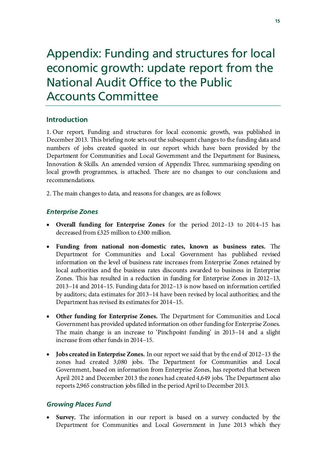# Appendix: Funding and structures for local economic growth: update report from the National Audit Office to the Public Accounts Committee

### **Introduction**

1. Our report, Funding and structures for local economic growth, was published in December 2013. This briefing note sets out the subsequent changes to the funding data and numbers of jobs created quoted in our report which have been provided by the Department for Communities and Local Government and the Department for Business, Innovation & Skills. An amended version of Appendix Three, summarising spending on local growth programmes, is attached. There are no changes to our conclusions and recommendations.

2. The main changes to data, and reasons for changes, are as follows:

### *Enterprise Zones*

- **Overall funding for Enterprise Zones** for the period 2012–13 to 2014–15 has decreased from £325 million to £300 million.
- **Funding from national non-domestic rates, known as business rates.** The Department for Communities and Local Government has published revised information on the level of business rate increases from Enterprise Zones retained by local authorities and the business rates discounts awarded to business in Enterprise Zones. This has resulted in a reduction in funding for Enterprise Zones in 2012–13, 2013–14 and 2014–15. Funding data for 2012–13 is now based on information certified by auditors; data estimates for 2013–14 have been revised by local authorities; and the Department has revised its estimates for 2014–15.
- **Other funding for Enterprise Zones.** The Department for Communities and Local Government has provided updated information on other funding for Enterprise Zones. The main change is an increase to 'Pinchpoint funding' in 2013–14 and a slight increase from other funds in 2014–15.
- **Jobs created in Enterprise Zones.** In our report we said that by the end of 2012–13 the zones had created 3,080 jobs. The Department for Communities and Local Government, based on information from Enterprise Zones, has reported that between April 2012 and December 2013 the zones had created 4,649 jobs. The Department also reports 2,965 construction jobs filled in the period April to December 2013.

### *Growing Places Fund*

**Survey.** The information in our report is based on a survey conducted by the Department for Communities and Local Government in June 2013 which they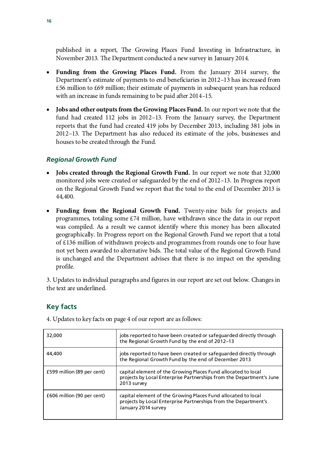published in a report, The Growing Places Fund Investing in Infrastructure, in November 2013. The Department conducted a new survey in January 2014.

- **Funding from the Growing Places Fund.** From the January 2014 survey, the Department's estimate of payments to end beneficiaries in 2012–13 has increased from £56 million to £69 million; their estimate of payments in subsequent years has reduced with an increase in funds remaining to be paid after 2014–15.
- **Jobs and other outputs from the Growing Places Fund.** In our report we note that the fund had created 112 jobs in 2012–13. From the January survey, the Department reports that the fund had created 419 jobs by December 2013, including 381 jobs in 2012–13. The Department has also reduced its estimate of the jobs, businesses and houses to be created through the Fund.

### *Regional Growth Fund*

- **Jobs created through the Regional Growth Fund.** In our report we note that 32,000 monitored jobs were created or safeguarded by the end of 2012–13. In Progress report on the Regional Growth Fund we report that the total to the end of December 2013 is 44,400.
- **Funding from the Regional Growth Fund.** Twenty-nine bids for projects and programmes, totaling some £74 million, have withdrawn since the data in our report was compiled. As a result we cannot identify where this money has been allocated geographically. In Progress report on the Regional Growth Fund we report that a total of £136 million of withdrawn projects and programmes from rounds one to four have not yet been awarded to alternative bids. The total value of the Regional Growth Fund is unchanged and the Department advises that there is no impact on the spending profile.

3. Updates to individual paragraphs and figures in our report are set out below. Changes in the text are underlined.

### **Key facts**

4. Updates to key facts on page 4 of our report are as follows:

| 32,000                     | jobs reported to have been created or safeguarded directly through<br>the Regional Growth Fund by the end of 2012-13                                    |
|----------------------------|---------------------------------------------------------------------------------------------------------------------------------------------------------|
| 44,400                     | jobs reported to have been created or safeguarded directly through<br>the Regional Growth Fund by the end of December 2013                              |
| £599 million (89 per cent) | capital element of the Growing Places Fund allocated to local<br>projects by Local Enterprise Partnerships from the Department's June<br>2013 survey    |
| £606 million (90 per cent) | capital element of the Growing Places Fund allocated to local<br>projects by Local Enterprise Partnerships from the Department's<br>January 2014 survey |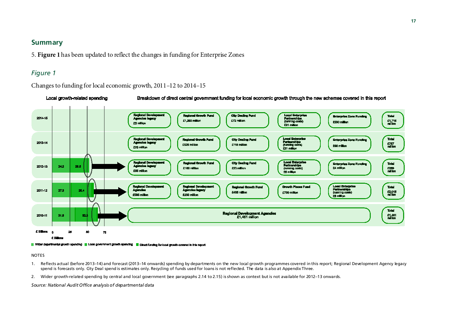#### **Summary**

5. **Figure 1**has been updated to reflect the changes in funding for Enterprise Zones

#### *Figure 1*

#### Changes to funding for local economic growth, 2011–12 to 2014–15



Wider departmental growth spending Local government growth spending Direct funding for local growth covered in this report

NOTES

- 1. Reflects actual (before 2013–14) and forecast (2013–14 onwards) spending by departments on the new local growth programmes covered in this report; Regional Development Agency legacy spend is forecasts only. City Deal spend is estimates only. Recycling of funds used for loans is not reflected. The data is also at Appendix Three.
- 2. Wider growth-related spending by central and local government (see paragraphs 2.14 to 2.15) is shown as context but is not available for 2012–13 onwards.

*Source: National Audit Office analysis of departmental data*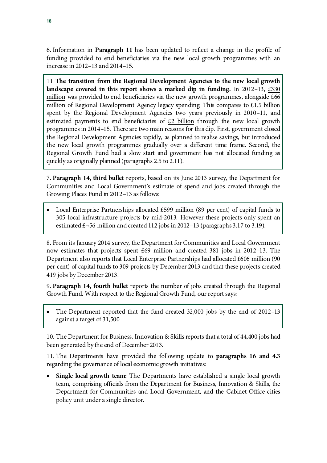6. Information in **Paragraph 11** has been updated to reflect a change in the profile of funding provided to end beneficiaries via the new local growth programmes with an increase in 2012–13 and 2014–15.

11 **The transition from the Regional Development Agencies to the new local growth landscape covered in this report shows a marked dip in funding.** In 2012–13, £330 million was provided to end beneficiaries via the new growth programmes, alongside £66 million of Regional Development Agency legacy spending. This compares to £1.5 billion spent by the Regional Development Agencies two years previously in 2010–11, and estimated payments to end beneficiaries of  $\epsilon$ 2 billion through the new local growth programmes in 2014–15. There are two main reasons for this dip. First, government closed the Regional Development Agencies rapidly, as planned to realise savings, but introduced the new local growth programmes gradually over a different time frame. Second, the Regional Growth Fund had a slow start and government has not allocated funding as quickly as originally planned (paragraphs 2.5 to 2.11).

7. **Paragraph 14, third bullet** reports, based on its June 2013 survey, the Department for Communities and Local Government's estimate of spend and jobs created through the Growing Places Fund in 2012–13 as follows:

Local Enterprise Partnerships allocated  $£599$  million (89 per cent) of capital funds to 305 local infrastructure projects by mid-2013. However these projects only spent an estimated  $\pounds$  -56 million and created 112 jobs in 2012–13 (paragraphs 3.17 to 3.19).

8. From its January 2014 survey, the Department for Communities and Local Government now estimates that projects spent £69 million and created 381 jobs in 2012–13. The Department also reports that Local Enterprise Partnerships had allocated £606 million (90 per cent) of capital funds to 309 projects by December 2013 and that these projects created 419 jobs by December 2013.

9. **Paragraph 14, fourth bullet** reports the number of jobs created through the Regional Growth Fund. With respect to the Regional Growth Fund, our report says:

• The Department reported that the fund created 32,000 jobs by the end of 2012–13 against a target of 31,500.

10. The Department for Business, Innovation & Skills reports that a total of 44,400 jobs had been generated by the end of December 2013.

11. The Departments have provided the following update to **paragraphs 16 and 4.3** regarding the governance of local economic growth initiatives:

• **Single local growth team:** The Departments have established a single local growth team, comprising officials from the Department for Business, Innovation & Skills, the Department for Communities and Local Government, and the Cabinet Office cities policy unit under a single director.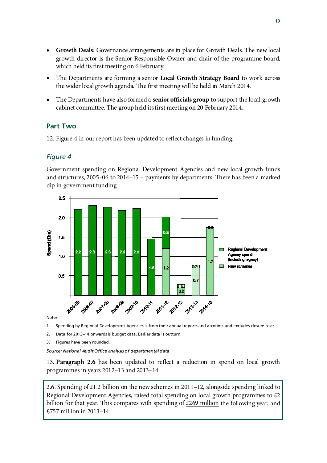- **Growth Deals:** Governance arrangements are in place for Growth Deals. The new local growth director is the Senior Responsible Owner and chair of the programme board, which held its first meeting on 6 February.
- The Departments are forming a senior **Local Growth Strategy Board** to work across the wider local growth agenda. The first meeting will be held in March 2014.
- The Departments have also formed a **senior officials group** to support the local growth cabinet committee. The group held its first meeting on 20 February 2014.

### **Part Two**

12. Figure 4 in our report has been updated to reflect changes in funding.

#### *Figure 4*

Government spending on Regional Development Agencies and new local growth funds and structures, 2005–06 to 2014–15 – payments by departments. There has been a marked dip in government funding



Notes

1. Spending by Regional Development Agencies is from their annual reports and accounts and excludes closure costs.

2. Data for 2013–14 onwards is budget data. Earlier data is outturn.

3. Figures have been rounded.

*Source: National Audit Office analysis of departmental data*

13. **Paragraph 2.6** has been updated to reflect a reduction in spend on local growth programmes in years 2012–13 and 2013–14.

2.6. Spending of £1.2 billion on the new schemes in 2011–12, alongside spending linked to Regional Development Agencies, raised total spending on local growth programmes to £2 billion for that year. This compares with spending of  $£269$  million the following year, and £757 million in 2013–14.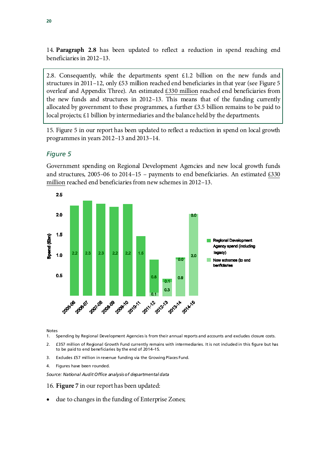14. **Paragraph 2.8** has been updated to reflect a reduction in spend reaching end beneficiaries in 2012–13.

2.8. Consequently, while the departments spent  $£1.2$  billion on the new funds and structures in 2011–12, only £53 million reached end beneficiaries in that year (see Figure 5 overleaf and Appendix Three). An estimated £330 million reached end beneficiaries from the new funds and structures in 2012–13. This means that of the funding currently allocated by government to these programmes, a further £3.5 billion remains to be paid to local projects; £1 billion by intermediaries and the balance held by the departments.

15. Figure 5 in our report has been updated to reflect a reduction in spend on local growth programmes in years 2012–13 and 2013–14.

#### *Figure 5*

Government spending on Regional Development Agencies and new local growth funds and structures,  $2005-06$  to  $2014-15$  – payments to end beneficiaries. An estimated £330 million reached end beneficiaries from new schemes in 2012–13.



Notes

1. Spending by Regional Development Agencies is from their annual reports and accounts and excludes closure costs.

- 2. £357 million of Regional Growth Fund currently remains with intermediaries. It is not included in this figure but has to be paid to end beneficiaries by the end of 2014–15.
- 3. Excludes £57 million in revenue funding via the Growing Places Fund.
- 4. Figures have been rounded.

*Source: National Audit Office analysis of departmental data*

16. **Figure 7** in our report has been updated:

due to changes in the funding of Enterprise Zones;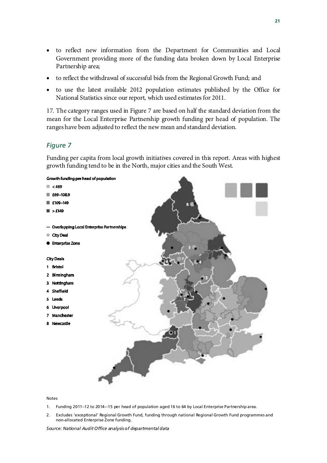- to reflect new information from the Department for Communities and Local Government providing more of the funding data broken down by Local Enterprise Partnership area;
- to reflect the withdrawal of successful bids from the Regional Growth Fund; and
- to use the latest available 2012 population estimates published by the Office for National Statistics since our report, which used estimates for 2011.

17. The category ranges used in Figure 7 are based on half the standard deviation from the mean for the Local Enterprise Partnership growth funding per head of population. The ranges have been adjusted to reflect the new mean and standard deviation.

#### *Figure 7*

Funding per capita from local growth initiatives covered in this report. Areas with highest growth funding tend to be in the North, major cities and the South West.



#### Notes

- 1. Funding 2011–12 to 2014–-15 per head of population aged 16 to 64 by Local Enterprise Partnership area.
- 2. Excludes 'exceptional' Regional Growth Fund, funding through national Regional Growth Fund programmes and non-allocated Enterprise Zone funding.

*Source: National Audit Office analysis of departmental data*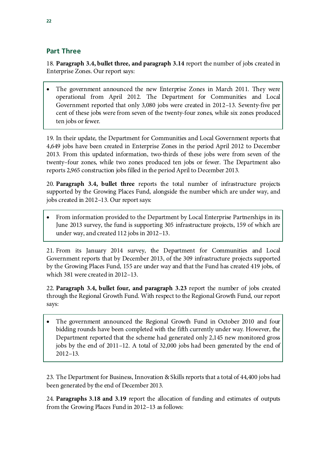### **Part Three**

18. **Paragraph 3.4, bullet three, and paragraph 3.14** report the number of jobs created in Enterprise Zones. Our report says:

The government announced the new Enterprise Zones in March 2011. They were operational from April 2012. The Department for Communities and Local Government reported that only 3,080 jobs were created in 2012–13. Seventy-five per cent of these jobs were from seven of the twenty-four zones, while six zones produced ten jobs or fewer.

19. In their update, the Department for Communities and Local Government reports that 4,649 jobs have been created in Enterprise Zones in the period April 2012 to December 2013. From this updated information, two-thirds of these jobs were from seven of the twenty–four zones, while two zones produced ten jobs or fewer. The Department also reports 2,965 construction jobs filled in the period April to December 2013.

20. **Paragraph 3.4, bullet three** reports the total number of infrastructure projects supported by the Growing Places Fund, alongside the number which are under way, and jobs created in 2012–13. Our report says:

• From information provided to the Department by Local Enterprise Partnerships in its June 2013 survey, the fund is supporting 305 infrastructure projects, 159 of which are under way, and created 112 jobs in 2012–13.

21. From its January 2014 survey, the Department for Communities and Local Government reports that by December 2013, of the 309 infrastructure projects supported by the Growing Places Fund, 155 are under way and that the Fund has created 419 jobs, of which 381 were created in 2012–13.

22. **Paragraph 3.4, bullet four, and paragraph 3.23** report the number of jobs created through the Regional Growth Fund. With respect to the Regional Growth Fund, our report says:

The government announced the Regional Growth Fund in October 2010 and four bidding rounds have been completed with the fifth currently under way. However, the Department reported that the scheme had generated only 2,145 new monitored gross jobs by the end of 2011–12. A total of 32,000 jobs had been generated by the end of 2012–13.

23. The Department for Business, Innovation & Skills reports that a total of 44,400 jobs had been generated by the end of December 2013.

24. **Paragraphs 3.18 and 3.19** report the allocation of funding and estimates of outputs from the Growing Places Fund in 2012–13 as follows: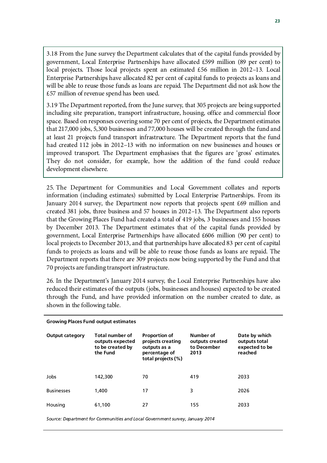3.18 From the June survey the Department calculates that of the capital funds provided by government, Local Enterprise Partnerships have allocated £599 million (89 per cent) to local projects. Those local projects spent an estimated £56 million in 2012–13. Local Enterprise Partnerships have allocated 82 per cent of capital funds to projects as loans and will be able to reuse those funds as loans are repaid. The Department did not ask how the £57 million of revenue spend has been used.

3.19 The Department reported, from the June survey, that 305 projects are being supported including site preparation, transport infrastructure, housing, office and commercial floor space. Based on responses covering some 70 per cent of projects, the Department estimates that 217,000 jobs, 5,300 businesses and 77,000 houses will be created through the fund and at least 21 projects fund transport infrastructure. The Department reports that the fund had created 112 jobs in 2012–13 with no information on new businesses and houses or improved transport. The Department emphasises that the figures are 'gross' estimates. They do not consider, for example, how the addition of the fund could reduce development elsewhere.

25. The Department for Communities and Local Government collates and reports information (including estimates) submitted by Local Enterprise Partnerships. From its January 2014 survey, the Department now reports that projects spent £69 million and created 381 jobs, three business and 57 houses in 2012–13. The Department also reports that the Growing Places Fund had created a total of 419 jobs, 3 businesses and 155 houses by December 2013. The Department estimates that of the capital funds provided by government, Local Enterprise Partnerships have allocated £606 million (90 per cent) to local projects to December 2013, and that partnerships have allocated 83 per cent of capital funds to projects as loans and will be able to reuse those funds as loans are repaid. The Department reports that there are 309 projects now being supported by the Fund and that 70 projects are funding transport infrastructure.

26. In the Department's January 2014 survey, the Local Enterprise Partnerships have also reduced their estimates of the outputs (jobs, businesses and houses) expected to be created through the Fund, and have provided information on the number created to date, as shown in the following table.

| <b>Growing Places Fund output estimates</b> |                                                                     |                                                                                                  |                                                     |                                                             |  |  |  |
|---------------------------------------------|---------------------------------------------------------------------|--------------------------------------------------------------------------------------------------|-----------------------------------------------------|-------------------------------------------------------------|--|--|--|
| <b>Output category</b>                      | Total number of<br>outputs expected<br>to be created by<br>the Fund | <b>Proportion of</b><br>projects creating<br>outputs as a<br>percentage of<br>total projects (%) | Number of<br>outputs created<br>to December<br>2013 | Date by which<br>outputs total<br>expected to be<br>reached |  |  |  |
| Jobs                                        | 142,300                                                             | 70                                                                                               | 419                                                 | 2033                                                        |  |  |  |
| <b>Businesses</b>                           | 1,400                                                               | 17                                                                                               | 3                                                   | 2026                                                        |  |  |  |
| Housing                                     | 61,100                                                              | 27                                                                                               | 155                                                 | 2033                                                        |  |  |  |

*Source: Department for Communities and Local Government survey, January 2014*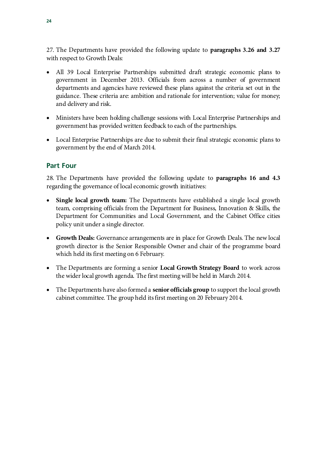27. The Departments have provided the following update to **paragraphs 3.26 and 3.27** with respect to Growth Deals:

- All 39 Local Enterprise Partnerships submitted draft strategic economic plans to government in December 2013. Officials from across a number of government departments and agencies have reviewed these plans against the criteria set out in the guidance. These criteria are: ambition and rationale for intervention; value for money; and delivery and risk.
- Ministers have been holding challenge sessions with Local Enterprise Partnerships and government has provided written feedback to each of the partnerships.
- Local Enterprise Partnerships are due to submit their final strategic economic plans to government by the end of March 2014.

### **Part Four**

28. The Departments have provided the following update to **paragraphs 16 and 4.3** regarding the governance of local economic growth initiatives:

- **Single local growth team:** The Departments have established a single local growth team, comprising officials from the Department for Business, Innovation & Skills, the Department for Communities and Local Government, and the Cabinet Office cities policy unit under a single director.
- **Growth Deals:** Governance arrangements are in place for Growth Deals. The new local growth director is the Senior Responsible Owner and chair of the programme board which held its first meeting on 6 February.
- The Departments are forming a senior **Local Growth Strategy Board** to work across the wider local growth agenda. The first meeting will be held in March 2014.
- The Departments have also formed a **senior officials group** to support the local growth cabinet committee. The group held its first meeting on 20 February 2014.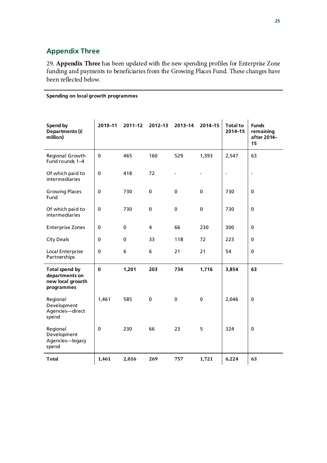### **Appendix Three**

29. **Appendix Three** has been updated with the new spending profiles for Enterprise Zone funding and payments to beneficiaries from the Growing Places Fund. These changes have been reflected below.

#### **Spending on local growth programmes**

| Spend by<br><b>Departments (f</b><br>million)                             | 2010-11     | $2011 - 12$ | $2012 - 13$ | 2013-14 | $2014 - 15$ | <b>Total to</b><br>$2014 - 15$ | <b>Funds</b><br>remaining<br>after 2014-<br>15 |
|---------------------------------------------------------------------------|-------------|-------------|-------------|---------|-------------|--------------------------------|------------------------------------------------|
| Regional Growth<br>Fund rounds 1-4                                        | $\mathbf 0$ | 465         | 160         | 529     | 1,393       | 2,547                          | 63                                             |
| Of which paid to<br>intermediaries                                        | $\mathbf 0$ | 418         | 72          |         |             | $\overline{\phantom{a}}$       | $\overline{\phantom{a}}$                       |
| <b>Growing Places</b><br>Fund                                             | $\mathbf 0$ | 730         | 0           | 0       | 0           | 730                            | $\mathbf 0$                                    |
| Of which paid to<br>intermediaries                                        | $\mathbf 0$ | 730         | 0           | 0       | 0           | 730                            | 0                                              |
| <b>Enterprise Zones</b>                                                   | 0           | 0           | 4           | 66      | 230         | 300                            | 0                                              |
| <b>City Deals</b>                                                         | 0           | 0           | 33          | 118     | 72          | 223                            | 0                                              |
| Local Enterprise<br>Partnerships                                          | $\mathbf 0$ | 6           | 6           | 21      | 21          | 54                             | 0                                              |
| <b>Total spend by</b><br>departments on<br>new local growth<br>programmes | $\mathbf 0$ | 1,201       | 203         | 734     | 1,716       | 3,854                          | 63                                             |
| Regional<br>Development<br>Agencies-direct<br>spend                       | 1,461       | 585         | $\mathbf 0$ | 0       | 0           | 2,046                          | 0                                              |
| Regional<br>Development<br>Agencies-legacy<br>spend                       | $\mathbf 0$ | 230         | 66          | 23      | 5           | 324                            | 0                                              |
| <b>Total</b>                                                              | 1,461       | 2,016       | 269         | 757     | 1,721       | 6,224                          | 63                                             |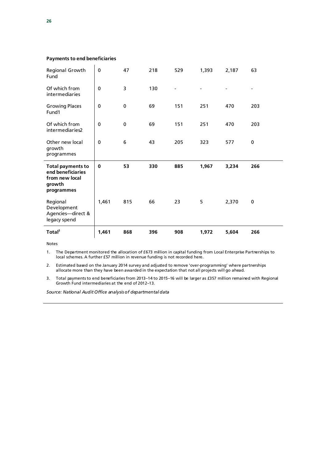#### **Payments to end beneficiaries**

| Regional Growth<br>Fund                                                                 | $\mathbf 0$ | 47           | 218 | 529 | 1,393 | 2,187 | 63          |
|-----------------------------------------------------------------------------------------|-------------|--------------|-----|-----|-------|-------|-------------|
| Of which from<br>intermediaries                                                         | $\mathbf 0$ | 3            | 130 |     |       |       |             |
| <b>Growing Places</b><br>Fund1                                                          | $\mathbf 0$ | $\mathbf 0$  | 69  | 151 | 251   | 470   | 203         |
| Of which from<br>intermediaries2                                                        | $\mathbf 0$ | $\mathbf{0}$ | 69  | 151 | 251   | 470   | 203         |
| Other new local<br>growth                                                               | $\pmb{0}$   | 6            | 43  | 205 | 323   | 577   | $\mathbf 0$ |
| programmes                                                                              |             |              |     |     |       |       |             |
| <b>Total payments to</b><br>end beneficiaries<br>from new local<br>growth<br>programmes | $\mathbf 0$ | 53           | 330 | 885 | 1,967 | 3,234 | 266         |
| Regional<br>Development<br>Agencies-direct &<br>legacy spend                            | 1,461       | 815          | 66  | 23  | 5     | 2,370 | 0           |

Notes

1. The Department monitored the allocation of £673 million in capital funding from Local Enterprise Partnerships to local schemes. A further £57 million in revenue funding is not recorded here.

2. Estimated based on the January 2014 survey and adjusted to remove 'over-programming' where partnerships allocate more than they have been awarded in the expectation that not all projects will go ahead.

3. Total payments to end beneficiaries from 2013–14 to 2015–16 will be larger as £357 million remained with Regional Growth Fund intermediaries at the end of 2012–13.

*Source: National Audit Office analysis of departmental data*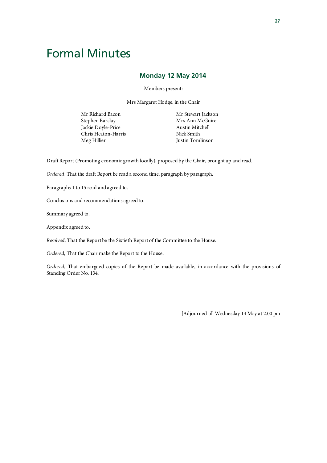# Formal Minutes

#### **Monday 12 May 2014**

Members present:

Mrs Margaret Hodge, in the Chair

Mr Richard Bacon Stephen Barclay Jackie Doyle-Price Chris Heaton-Harris Meg Hillier

Mr Stewart Jackson Mrs Ann McGuire Austin Mitchell Nick Smith Justin Tomlinson

Draft Report (Promoting economic growth locally), proposed by the Chair, brought up and read.

*Ordered*, That the draft Report be read a second time, paragraph by paragraph.

Paragraphs 1 to 15 read and agreed to.

Conclusions and recommendations agreed to.

Summary agreed to.

Appendix agreed to.

*Resolved*, That the Report be the Sixtieth Report of the Committee to the House.

*Ordered*, That the Chair make the Report to the House.

*Ordered*, That embargoed copies of the Report be made available, in accordance with the provisions of Standing Order No. 134.

[Adjourned till Wednesday 14 May at 2.00 pm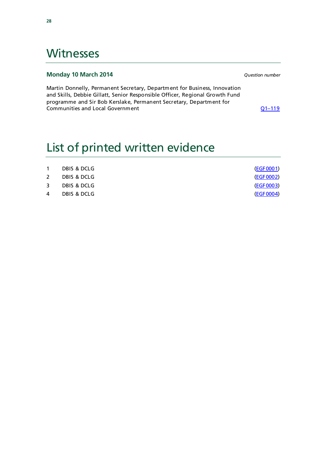## **Witnesses**

#### **Monday 10 March 2014** *Question number*

Martin Donnelly, Permanent Secretary, Department for Business, Innovation and Skills, Debbie Gillatt, Senior Responsible Officer, Regional Growth Fund programme and Sir Bob Kerslake, Permanent Secretary, Department for Communities and Local Government Communities and Local Government

# List of printed written evidence

| $\mathbf{1}$ | DBIS & DCLG | (EGF0001)        |
|--------------|-------------|------------------|
| 2            | DBIS & DCLG | (EGF0002)        |
| $\mathbf{3}$ | DBIS & DCLG | (EGF0003)        |
| 4            | DBIS & DCLG | <u>(EGF0004)</u> |
|              |             |                  |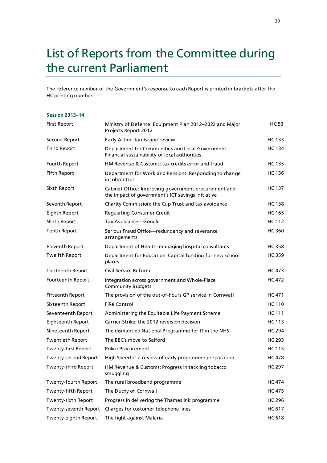# List of Reports from the Committee during the current Parliament

The reference number of the Government's response to each Report is printed in brackets after the HC printing number.

#### **Session 2013–14**

| <b>First Report</b>         | Ministry of Defence: Equipment Plan 2012-2022 and Major<br>Projects Report 2012                           | HC 53         |
|-----------------------------|-----------------------------------------------------------------------------------------------------------|---------------|
| Second Report               | Early Action: landscape review                                                                            | HC 133        |
| <b>Third Report</b>         | Department for Communities and Local Government:<br>Financial sustainability of local authorities         | <b>HC134</b>  |
| Fourth Report               | HM Revenue & Customs: tax credits error and fraud                                                         | <b>HC</b> 135 |
| <b>Fifth Report</b>         | Department for Work and Pensions: Responding to change<br>in jobcentres                                   | HC 136        |
| Sixth Report                | Cabinet Office: Improving government procurement and<br>the impact of government's ICT savings initiative | <b>HC137</b>  |
| Seventh Report              | Charity Commission: the Cup Trust and tax avoidance                                                       | <b>HC138</b>  |
| Eighth Report               | <b>Regulating Consumer Credit</b>                                                                         | <b>HC165</b>  |
| Ninth Report                | Tax Avoidance-Google                                                                                      | <b>HC112</b>  |
| <b>Tenth Report</b>         | Serious Fraud Office-redundancy and severance<br>arrangements                                             | <b>HC360</b>  |
| <b>Eleventh Report</b>      | Department of Health: managing hospital consultants                                                       | <b>HC358</b>  |
| <b>Twelfth Report</b>       | Department for Education: Capital funding for new school<br>places                                        | <b>HC359</b>  |
| Thirteenth Report           | Civil Service Reform                                                                                      | HC 473        |
| <b>Fourteenth Report</b>    | Integration across government and Whole-Place<br>Community Budgets                                        | HC 472        |
| <b>Fifteenth Report</b>     | The provision of the out-of-hours GP service in Cornwall                                                  | HC 471        |
| Sixteenth Report            | <b>FiRe Control</b>                                                                                       | <b>HC110</b>  |
| Seventeenth Report          | Administering the Equitable Life Payment Scheme                                                           | <b>HC111</b>  |
| Eighteenth Report           | Carrier Strike: the 2012 reversion decision                                                               | HC 113        |
| Nineteenth Report           | The dismantled National Programme for IT in the NHS                                                       | <b>HC 294</b> |
| <b>Twentieth Report</b>     | The BBC's move to Salford                                                                                 | <b>HC 293</b> |
| <b>Twenty-first Report</b>  | <b>Police Procurement</b>                                                                                 | <b>HC115</b>  |
| <b>Twenty-second Report</b> | High Speed 2: a review of early programme preparation                                                     | <b>HC478</b>  |
| Twenty-third Report         | HM Revenue & Customs: Progress in tackling tobacco<br>smuggling                                           | <b>HC297</b>  |
| Twenty-fourth Report        | The rural broadband programme                                                                             | <b>HC474</b>  |
| Twenty-fifth Report         | The Duchy of Cornwall                                                                                     | <b>HC475</b>  |
| Twenty-sixth Report         | Progress in delivering the Thameslink programme                                                           | <b>HC296</b>  |
| Twenty-seventh Report       | Charges for customer telephone lines                                                                      | HC 617        |
| Twenty-eighth Report        | The fight against Malaria                                                                                 | <b>HC618</b>  |